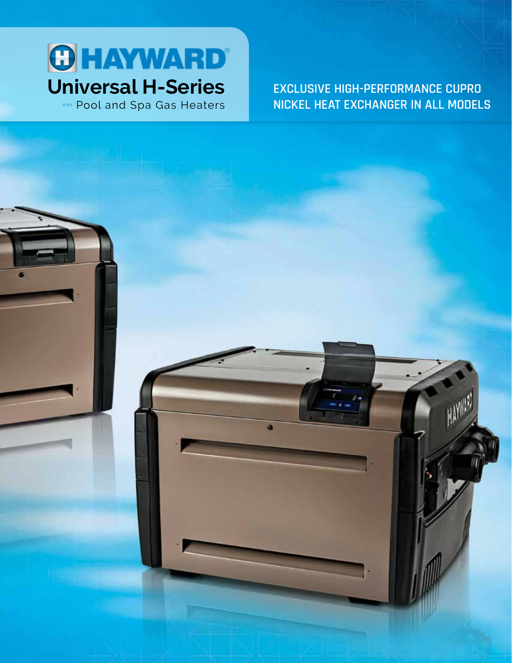

»»» Pool and Spa Gas Heaters

**EXCLUSIVE HIGH-PERFORMANCE CUPRO NICKEL HEAT EXCHANGER IN ALL MODELS**

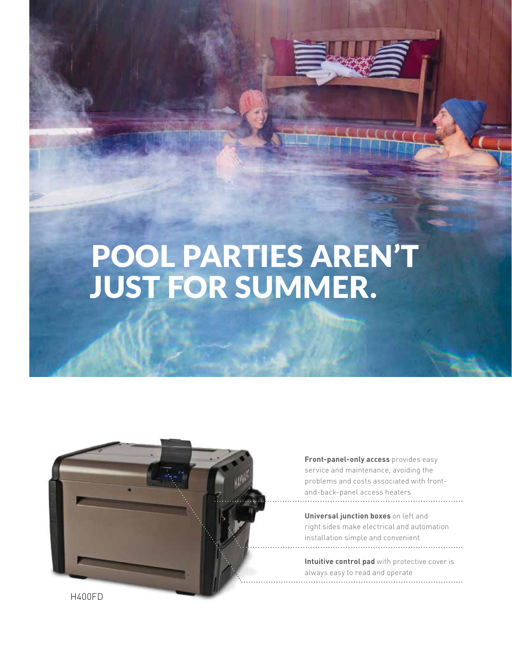# POOL PARTIES AREN'T JUST FOR SUMMER.



**Front-panel-only access** provides easy service and maintenance, avoiding the problems and costs associated with frontand-back-panel access heaters

**Universal junction boxes** on left and right sides make electrical and automation installation simple and convenient

**Intuitive control pad** with protective cover is always easy to read and operate

H400FD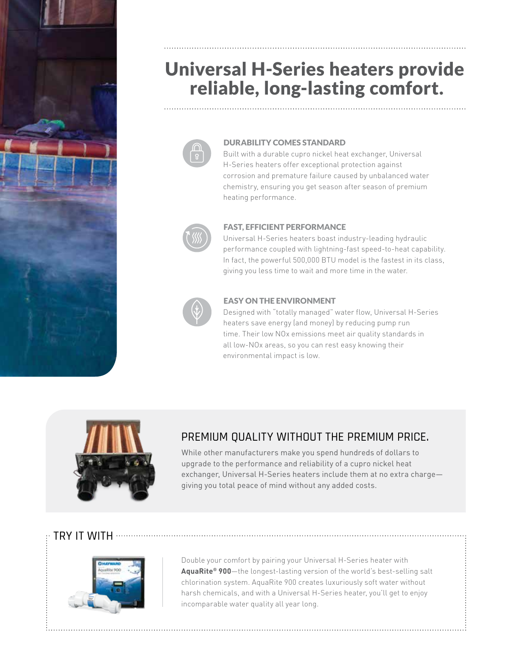

# Universal H-Series heaters provide reliable, long-lasting comfort.



#### DURABILITY COMES STANDARD

Built with a durable cupro nickel heat exchanger, Universal H-Series heaters offer exceptional protection against corrosion and premature failure caused by unbalanced water chemistry, ensuring you get season after season of premium heating performance.



#### FAST, EFFICIENT PERFORMANCE

Universal H-Series heaters boast industry-leading hydraulic performance coupled with lightning-fast speed-to-heat capability. In fact, the powerful 500,000 BTU model is the fastest in its class, giving you less time to wait and more time in the water.



#### EASY ON THE ENVIRONMENT

Designed with "totally managed" water flow, Universal H-Series heaters save energy (and money) by reducing pump run time. Their low NOx emissions meet air quality standards in all low-NOx areas, so you can rest easy knowing their environmental impact is low.



## PREMIUM QUALITY WITHOUT THE PREMIUM PRICE.

While other manufacturers make you spend hundreds of dollars to upgrade to the performance and reliability of a cupro nickel heat exchanger, Universal H-Series heaters include them at no extra charge giving you total peace of mind without any added costs.

### $\cdot$  TRY IT WITH  $\, \cdots \,$



Double your comfort by pairing your Universal H-Series heater with **AquaRite® 900**—the longest-lasting version of the world's best-selling salt chlorination system. AquaRite 900 creates luxuriously soft water without harsh chemicals, and with a Universal H-Series heater, you'll get to enjoy incomparable water quality all year long.